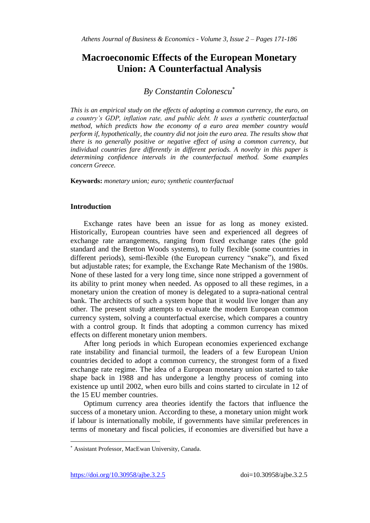# **Macroeconomic Effects of the European Monetary Union: A Counterfactual Analysis**

# *By Constantin Colonescu*

*This is an empirical study on the effects of adopting a common currency, the euro, on a country's GDP, inflation rate, and public debt. It uses a synthetic counterfactual method, which predicts how the economy of a euro area member country would perform if, hypothetically, the country did not join the euro area. The results show that there is no generally positive or negative effect of using a common currency, but individual countries fare differently in different periods. A novelty in this paper is determining confidence intervals in the counterfactual method. Some examples concern Greece.*

**Keywords:** *monetary union; euro; synthetic counterfactual*

# **Introduction**

Exchange rates have been an issue for as long as money existed. Historically, European countries have seen and experienced all degrees of exchange rate arrangements, ranging from fixed exchange rates (the gold standard and the Bretton Woods systems), to fully flexible (some countries in different periods), semi-flexible (the European currency "snake"), and fixed but adjustable rates; for example, the Exchange Rate Mechanism of the 1980s. None of these lasted for a very long time, since none stripped a government of its ability to print money when needed. As opposed to all these regimes, in a monetary union the creation of money is delegated to a supra-national central bank. The architects of such a system hope that it would live longer than any other. The present study attempts to evaluate the modern European common currency system, solving a counterfactual exercise, which compares a country with a control group. It finds that adopting a common currency has mixed effects on different monetary union members.

After long periods in which European economies experienced exchange rate instability and financial turmoil, the leaders of a few European Union countries decided to adopt a common currency, the strongest form of a fixed exchange rate regime. The idea of a European monetary union started to take shape back in 1988 and has undergone a lengthy process of coming into existence up until 2002, when euro bills and coins started to circulate in 12 of the 15 EU member countries.

Optimum currency area theories identify the factors that influence the success of a monetary union. According to these, a monetary union might work if labour is internationally mobile, if governments have similar preferences in terms of monetary and fiscal policies, if economies are diversified but have a

 $\overline{a}$ 

Assistant Professor, MacEwan University, Canada.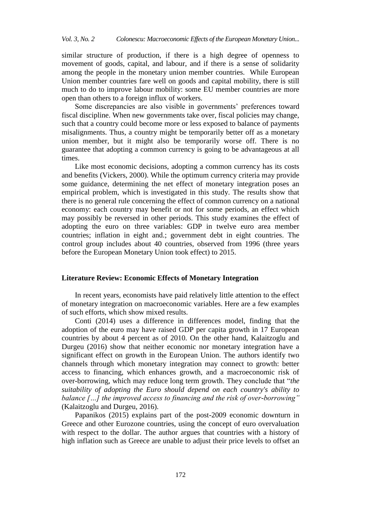similar structure of production, if there is a high degree of openness to movement of goods, capital, and labour, and if there is a sense of solidarity among the people in the monetary union member countries. While European Union member countries fare well on goods and capital mobility, there is still much to do to improve labour mobility: some EU member countries are more open than others to a foreign influx of workers.

Some discrepancies are also visible in governments' preferences toward fiscal discipline. When new governments take over, fiscal policies may change, such that a country could become more or less exposed to balance of payments misalignments. Thus, a country might be temporarily better off as a monetary union member, but it might also be temporarily worse off. There is no guarantee that adopting a common currency is going to be advantageous at all times.

Like most economic decisions, adopting a common currency has its costs and benefits (Vickers, 2000). While the optimum currency criteria may provide some guidance, determining the net effect of monetary integration poses an empirical problem, which is investigated in this study. The results show that there is no general rule concerning the effect of common currency on a national economy: each country may benefit or not for some periods, an effect which may possibly be reversed in other periods. This study examines the effect of adopting the euro on three variables: GDP in twelve euro area member countries; inflation in eight and.; government debt in eight countries. The control group includes about 40 countries, observed from 1996 (three years before the European Monetary Union took effect) to 2015.

#### **Literature Review: Economic Effects of Monetary Integration**

In recent years, economists have paid relatively little attention to the effect of monetary integration on macroeconomic variables. Here are a few examples of such efforts, which show mixed results.

Conti (2014) uses a difference in differences model, finding that the adoption of the euro may have raised GDP per capita growth in 17 European countries by about 4 percent as of 2010. On the other hand, Kalaitzoglu and Durgeu (2016) show that neither economic nor monetary integration have a significant effect on growth in the European Union. The authors identify two channels through which monetary integration may connect to growth: better access to financing, which enhances growth, and a macroeconomic risk of over-borrowing, which may reduce long term growth. They conclude that "*the suitability of adopting the Euro should depend on each country's ability to balance […] the improved access to financing and the risk of over-borrowing"* (Kalaitzoglu and Durgeu, 2016).

Papanikos (2015) explains part of the post-2009 economic downturn in Greece and other Eurozone countries, using the concept of euro overvaluation with respect to the dollar. The author argues that countries with a history of high inflation such as Greece are unable to adjust their price levels to offset an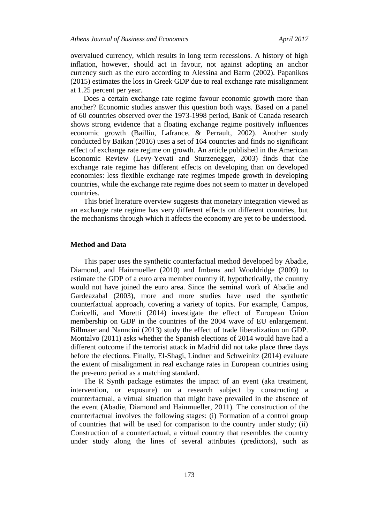overvalued currency, which results in long term recessions. A history of high inflation, however, should act in favour, not against adopting an anchor currency such as the euro according to Alessina and Barro (2002). Papanikos (2015) estimates the loss in Greek GDP due to real exchange rate misalignment at 1.25 percent per year.

Does a certain exchange rate regime favour economic growth more than another? Economic studies answer this question both ways. Based on a panel of 60 countries observed over the 1973-1998 period, Bank of Canada research shows strong evidence that a floating exchange regime positively influences economic growth (Bailliu, Lafrance, & Perrault, 2002). Another study conducted by Baikan (2016) uses a set of 164 countries and finds no significant effect of exchange rate regime on growth. An article published in the American Economic Review (Levy-Yevati and Sturzenegger, 2003) finds that the exchange rate regime has different effects on developing than on developed economies: less flexible exchange rate regimes impede growth in developing countries, while the exchange rate regime does not seem to matter in developed countries.

This brief literature overview suggests that monetary integration viewed as an exchange rate regime has very different effects on different countries, but the mechanisms through which it affects the economy are yet to be understood.

### **Method and Data**

This paper uses the synthetic counterfactual method developed by Abadie, Diamond, and Hainmueller (2010) and Imbens and Wooldridge (2009) to estimate the GDP of a euro area member country if, hypothetically, the country would not have joined the euro area. Since the seminal work of Abadie and Gardeazabal (2003), more and more studies have used the synthetic counterfactual approach, covering a variety of topics. For example, Campos, Coricelli, and Moretti (2014) investigate the effect of European Union membership on GDP in the countries of the 2004 wave of EU enlargement. Billmaer and Nanncini (2013) study the effect of trade liberalization on GDP. Montalvo (2011) asks whether the Spanish elections of 2014 would have had a different outcome if the terrorist attack in Madrid did not take place three days before the elections. Finally, El-Shagi, Lindner and Schweinitz (2014) evaluate the extent of misalignment in real exchange rates in European countries using the pre-euro period as a matching standard.

The R Synth package estimates the impact of an event (aka treatment, intervention, or exposure) on a research subject by constructing a counterfactual, a virtual situation that might have prevailed in the absence of the event (Abadie, Diamond and Hainmueller, 2011). The construction of the counterfactual involves the following stages: (i) Formation of a control group of countries that will be used for comparison to the country under study; (ii) Construction of a counterfactual, a virtual country that resembles the country under study along the lines of several attributes (predictors), such as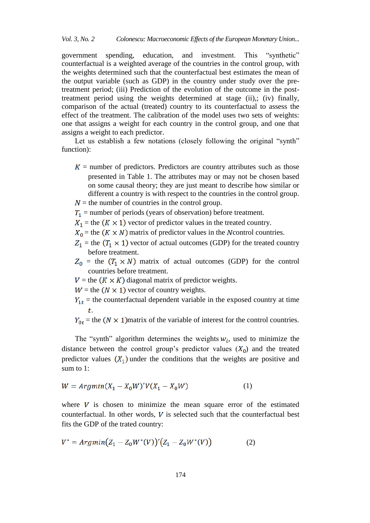government spending, education, and investment. This "synthetic" counterfactual is a weighted average of the countries in the control group, with the weights determined such that the counterfactual best estimates the mean of the output variable (such as GDP) in the country under study over the pretreatment period; (iii) Prediction of the evolution of the outcome in the posttreatment period using the weights determined at stage (ii),; (iv) finally, comparison of the actual (treated) country to its counterfactual to assess the effect of the treatment. The calibration of the model uses two sets of weights: one that assigns a weight for each country in the control group, and one that assigns a weight to each predictor.

Let us establish a few notations (closely following the original "synth" function):

- $K =$  number of predictors. Predictors are country attributes such as those presented in Table 1. The attributes may or may not be chosen based on some causal theory; they are just meant to describe how similar or different a country is with respect to the countries in the control group.  $N =$  the number of countries in the control group.
- $T_1$  = number of periods (years of observation) before treatment.
- $X_1$  = the ( $K \times 1$ ) vector of predictor values in the treated country.
- $X_0$  = the  $(K \times N)$  matrix of predictor values in the N control countries.
- $Z_1$  = the  $(T_1 \times 1)$  vector of actual outcomes (GDP) for the treated country before treatment.
- $Z_0$  = the  $(T_1 \times N)$  matrix of actual outcomes (GDP) for the control countries before treatment.

 $V =$  the  $(K \times K)$  diagonal matrix of predictor weights.

 $W =$  the  $(N \times 1)$  vector of country weights.

 $Y_{1t}$  = the counterfactual dependent variable in the exposed country at time .

 $Y_{0t}$  = the  $(N \times 1)$  matrix of the variable of interest for the control countries.

The "synth" algorithm determines the weights  $w_i$ , used to minimize the distance between the control group's predictor values  $(X_0)$  and the treated predictor values  $(X_1)$  under the conditions that the weights are positive and sum to 1:

$$
W = \text{Argmin}(X_1 - X_0 W)'V(X_1 - X_0 W) \tag{1}
$$

where  $V$  is chosen to minimize the mean square error of the estimated counterfactual. In other words,  $V$  is selected such that the counterfactual best fits the GDP of the trated country:

$$
V^* = \text{Argmin}\big(Z_1 - Z_0 W^*(V)\big)'\big(Z_1 - Z_0 W^*(V)\big) \tag{2}
$$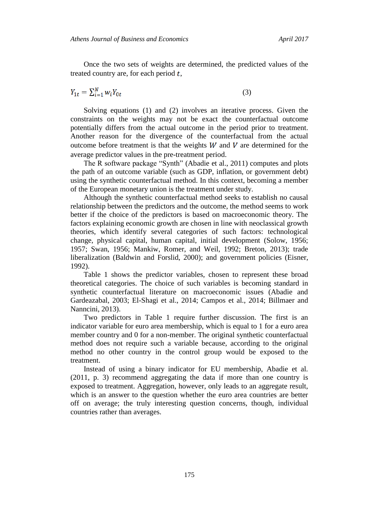Once the two sets of weights are determined, the predicted values of the treated country are, for each period  $t$ ,

$$
Y_{1t} = \sum_{i=1}^{N} w_i Y_{0t} \tag{3}
$$

Solving equations (1) and (2) involves an iterative process. Given the constraints on the weights may not be exact the counterfactual outcome potentially differs from the actual outcome in the period prior to treatment. Another reason for the divergence of the counterfactual from the actual outcome before treatment is that the weights  $W$  and  $V$  are determined for the average predictor values in the pre-treatment period.

The R software package "Synth" (Abadie et al., 2011) computes and plots the path of an outcome variable (such as GDP, inflation, or government debt) using the synthetic counterfactual method. In this context, becoming a member of the European monetary union is the treatment under study.

Although the synthetic counterfactual method seeks to establish no causal relationship between the predictors and the outcome, the method seems to work better if the choice of the predictors is based on macroeconomic theory. The factors explaining economic growth are chosen in line with neoclassical growth theories, which identify several categories of such factors: technological change, physical capital, human capital, initial development (Solow, 1956; 1957; Swan, 1956; Mankiw, Romer, and Weil, 1992; Breton, 2013); trade liberalization (Baldwin and Forslid, 2000); and government policies (Eisner, 1992).

Table 1 shows the predictor variables, chosen to represent these broad theoretical categories. The choice of such variables is becoming standard in synthetic counterfactual literature on macroeconomic issues (Abadie and Gardeazabal, 2003; El-Shagi et al., 2014; Campos et al., 2014; Billmaer and Nanncini, 2013).

Two predictors in Table 1 require further discussion. The first is an indicator variable for euro area membership, which is equal to 1 for a euro area member country and 0 for a non-member. The original synthetic counterfactual method does not require such a variable because, according to the original method no other country in the control group would be exposed to the treatment.

Instead of using a binary indicator for EU membership, Abadie et al. (2011, p. 3) recommend aggregating the data if more than one country is exposed to treatment. Aggregation, however, only leads to an aggregate result, which is an answer to the question whether the euro area countries are better off on average; the truly interesting question concerns, though, individual countries rather than averages.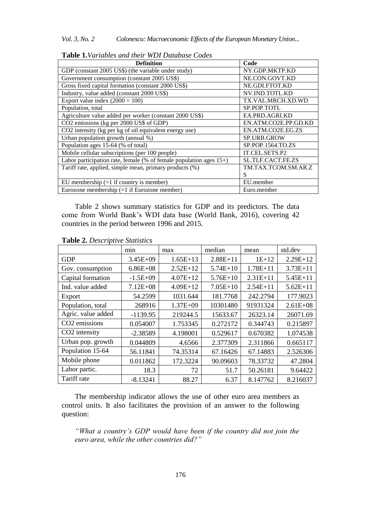| <b>Definition</b>                                                       | Code                 |
|-------------------------------------------------------------------------|----------------------|
| GDP (constant 2005 US\$) (the variable under study)                     | NY.GDP.MKTP.KD       |
| Government consumption (constant 2005 US\$)                             | NE.CON.GOVT.KD       |
| Gross fixed capital formation (constant 2000 US\$)                      | NE.GDI.FTOT.KD       |
| Industry, value added (constant 2000 US\$)                              | NV.IND.TOTL.KD       |
| Export value index $(2000 = 100)$                                       | TX.VAL.MRCH.XD.WD    |
| Population, total                                                       | SP.POP.TOTL          |
| Agriculture value added per worker (constant 2000 US\$)                 | EA.PRD.AGRI.KD       |
| CO2 emissions (kg per 2000 US\$ of GDP)                                 | EN.ATM.CO2E.PP.GD.KD |
| CO2 intensity (kg per kg of oil equivalent energy use)                  | EN.ATM.CO2E.EG.ZS    |
| Urban population growth (annual %)                                      | <b>SP.URB.GROW</b>   |
| Population ages 15-64 (% of total)                                      | SP.POP.1564.TO.ZS    |
| Mobile cellular subscriptions (per 100 people)                          | IT.CEL.SETS.P2       |
| Labor participation rate, female $(\%$ of female population ages $15+)$ | SL.TLF.CACT.FE.ZS    |
| Tariff rate, applied, simple mean, primary products (%)                 | TM.TAX.TCOM.SM.AR.Z  |
|                                                                         | S                    |
| EU membership $(=1$ if country is member)                               | EU.member            |
| Eurozone membership $(=1$ if Eurozone member)                           | Euro.member          |

**Table 1.***Variables and their WDI Database Codes*

Table 2 shows summary statistics for GDP and its predictors. The data come from World Bank's WDI data base (World Bank, 2016), covering 42 countries in the period between 1996 and 2015.

|                           | min          | max          | median     | mean         | std.dev      |
|---------------------------|--------------|--------------|------------|--------------|--------------|
| <b>GDP</b>                | $3.45E + 09$ | $1.65E+13$   | $2.88E+11$ | $1E+12$      | $2.29E+12$   |
| Gov. consumption          | $6.86E + 08$ | $2.52E+12$   | $5.74E+10$ | $1.78E + 11$ | $3.73E + 11$ |
| Capital formation         | $-1.5E+09$   | $4.07E+12$   | $5.76E+10$ | $2.31E+11$   | $5.45E+11$   |
| Ind. value added          | $7.12E + 08$ | $4.09E+12$   | $7.05E+10$ | $2.54E+11$   | $5.62E+11$   |
| Export                    | 54.2599      | 1031.644     | 181.7768   | 242.2794     | 177.9023     |
| Population, total         | 268916       | $1.37E + 09$ | 10301480   | 91931324     | $2.61E + 08$ |
| Agric. value added        | $-1139.95$   | 219244.5     | 15633.67   | 26323.14     | 26071.69     |
| CO <sub>2</sub> emissions | 0.054007     | 1.753345     | 0.272172   | 0.344743     | 0.215897     |
| CO <sub>2</sub> intensity | $-2.38589$   | 4.198001     | 0.529617   | 0.670382     | 1.074538     |
| Urban pop. growth         | 0.044809     | 4.6566       | 2.377309   | 2.311866     | 0.665117     |
| Population 15-64          | 56.11841     | 74.35314     | 67.16426   | 67.14883     | 2.526306     |
| Mobile phone              | 0.011862     | 172.3224     | 90.09603   | 78.33732     | 47.2804      |
| Labor partic.             | 18.3         | 72           | 51.7       | 50.26181     | 9.64422      |
| Tariff rate               | $-8.13241$   | 88.27        | 6.37       | 8.147762     | 8.216037     |

### **Table 2.** *Descriptive Statistics*

The membership indicator allows the use of other euro area members as control units. It also facilitates the provision of an answer to the following question:

*"What a country's GDP would have been if the country did not join the euro area, while the other countries did?"*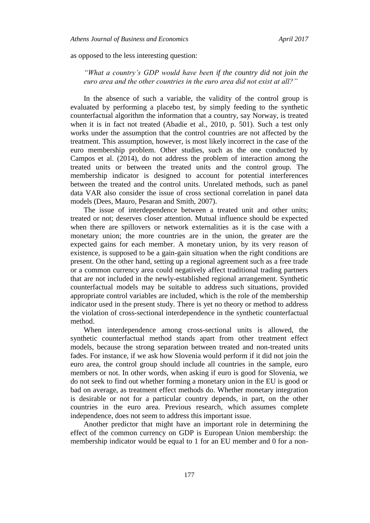as opposed to the less interesting question:

*"What a country's GDP would have been if the country did not join the euro area and the other countries in the euro area did not exist at all?"* 

In the absence of such a variable, the validity of the control group is evaluated by performing a placebo test, by simply feeding to the synthetic counterfactual algorithm the information that a country, say Norway, is treated when it is in fact not treated (Abadie et al., 2010, p. 501). Such a test only works under the assumption that the control countries are not affected by the treatment. This assumption, however, is most likely incorrect in the case of the euro membership problem. Other studies, such as the one conducted by Campos et al. (2014), do not address the problem of interaction among the treated units or between the treated units and the control group. The membership indicator is designed to account for potential interferences between the treated and the control units. Unrelated methods, such as panel data VAR also consider the issue of cross sectional correlation in panel data models (Dees, Mauro, Pesaran and Smith, 2007).

The issue of interdependence between a treated unit and other units; treated or not; deserves closer attention. Mutual influence should be expected when there are spillovers or network externalities as it is the case with a monetary union; the more countries are in the union, the greater are the expected gains for each member. A monetary union, by its very reason of existence, is supposed to be a gain-gain situation when the right conditions are present. On the other hand, setting up a regional agreement such as a free trade or a common currency area could negatively affect traditional trading partners that are not included in the newly-established regional arrangement. Synthetic counterfactual models may be suitable to address such situations, provided appropriate control variables are included, which is the role of the membership indicator used in the present study. There is yet no theory or method to address the violation of cross-sectional interdependence in the synthetic counterfactual method.

When interdependence among cross-sectional units is allowed, the synthetic counterfactual method stands apart from other treatment effect models, because the strong separation between treated and non-treated units fades. For instance, if we ask how Slovenia would perform if it did not join the euro area, the control group should include all countries in the sample, euro members or not. In other words, when asking if euro is good for Slovenia, we do not seek to find out whether forming a monetary union in the EU is good or bad on average, as treatment effect methods do. Whether monetary integration is desirable or not for a particular country depends, in part, on the other countries in the euro area. Previous research, which assumes complete independence, does not seem to address this important issue.

Another predictor that might have an important role in determining the effect of the common currency on GDP is European Union membership: the membership indicator would be equal to 1 for an EU member and 0 for a non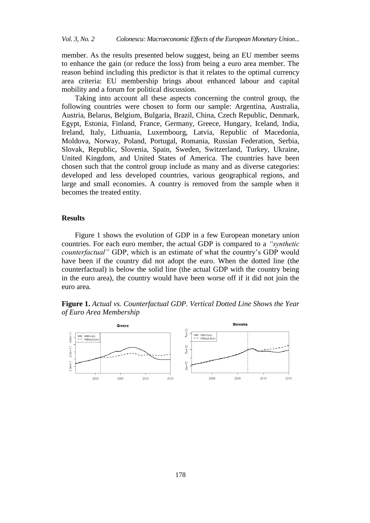member. As the results presented below suggest, being an EU member seems to enhance the gain (or reduce the loss) from being a euro area member. The reason behind including this predictor is that it relates to the optimal currency area criteria: EU membership brings about enhanced labour and capital mobility and a forum for political discussion.

Taking into account all these aspects concerning the control group, the following countries were chosen to form our sample: Argentina, Australia, Austria, Belarus, Belgium, Bulgaria, Brazil, China, Czech Republic, Denmark, Egypt, Estonia, Finland, France, Germany, Greece, Hungary, Iceland, India, Ireland, Italy, Lithuania, Luxembourg, Latvia, Republic of Macedonia, Moldova, Norway, Poland, Portugal, Romania, Russian Federation, Serbia, Slovak, Republic, Slovenia, Spain, Sweden, Switzerland, Turkey, Ukraine, United Kingdom, and United States of America. The countries have been chosen such that the control group include as many and as diverse categories: developed and less developed countries, various geographical regions, and large and small economies. A country is removed from the sample when it becomes the treated entity.

### **Results**

Figure 1 shows the evolution of GDP in a few European monetary union countries. For each euro member, the actual GDP is compared to a *"synthetic counterfactual"* GDP, which is an estimate of what the country's GDP would have been if the country did not adopt the euro. When the dotted line (the counterfactual) is below the solid line (the actual GDP with the country being in the euro area), the country would have been worse off if it did not join the euro area.

**Figure 1.** *Actual vs. Counterfactual GDP. Vertical Dotted Line Shows the Year of Euro Area Membership*

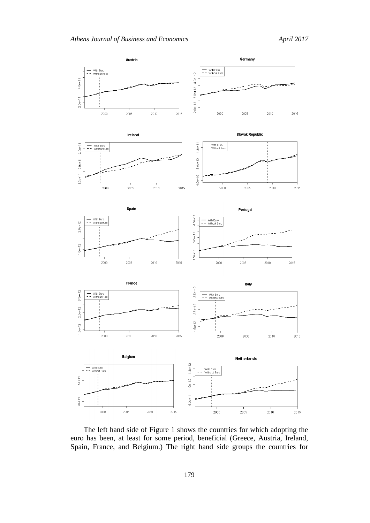

The left hand side of Figure 1 shows the countries for which adopting the euro has been, at least for some period, beneficial (Greece, Austria, Ireland, Spain, France, and Belgium.) The right hand side groups the countries for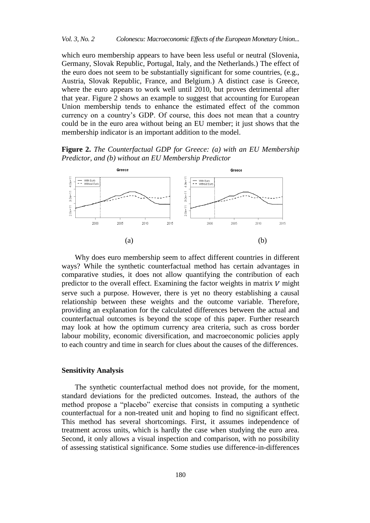which euro membership appears to have been less useful or neutral (Slovenia, Germany, Slovak Republic, Portugal, Italy, and the Netherlands.) The effect of the euro does not seem to be substantially significant for some countries, (e.g., Austria, Slovak Republic, France, and Belgium.) A distinct case is Greece, where the euro appears to work well until 2010, but proves detrimental after that year. Figure 2 shows an example to suggest that accounting for European Union membership tends to enhance the estimated effect of the common currency on a country's GDP. Of course, this does not mean that a country could be in the euro area without being an EU member; it just shows that the membership indicator is an important addition to the model.

**Figure 2.** *The Counterfactual GDP for Greece: (a) with an EU Membership Predictor, and (b) without an EU Membership Predictor*



Why does euro membership seem to affect different countries in different ways? While the synthetic counterfactual method has certain advantages in comparative studies, it does not allow quantifying the contribution of each predictor to the overall effect. Examining the factor weights in matrix  $V$  might serve such a purpose. However, there is yet no theory establishing a causal relationship between these weights and the outcome variable. Therefore, providing an explanation for the calculated differences between the actual and counterfactual outcomes is beyond the scope of this paper. Further research may look at how the optimum currency area criteria, such as cross border labour mobility, economic diversification, and macroeconomic policies apply to each country and time in search for clues about the causes of the differences.

## **Sensitivity Analysis**

The synthetic counterfactual method does not provide, for the moment, standard deviations for the predicted outcomes. Instead, the authors of the method propose a "placebo" exercise that consists in computing a synthetic counterfactual for a non-treated unit and hoping to find no significant effect. This method has several shortcomings. First, it assumes independence of treatment across units, which is hardly the case when studying the euro area. Second, it only allows a visual inspection and comparison, with no possibility of assessing statistical significance. Some studies use difference-in-differences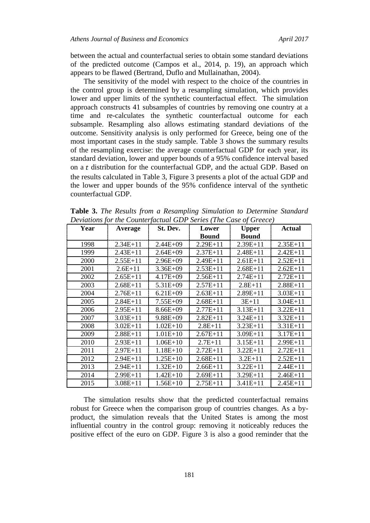between the actual and counterfactual series to obtain some standard deviations of the predicted outcome (Campos et al., 2014, p. 19), an approach which appears to be flawed (Bertrand, Duflo and Mullainathan, 2004).

The sensitivity of the model with respect to the choice of the countries in the control group is determined by a resampling simulation, which provides lower and upper limits of the synthetic counterfactual effect. The simulation approach constructs 41 subsamples of countries by removing one country at a time and re-calculates the synthetic counterfactual outcome for each subsample. Resampling also allows estimating standard deviations of the outcome. Sensitivity analysis is only performed for Greece, being one of the most important cases in the study sample. Table 3 shows the summary results of the resampling exercise: the average counterfactual GDP for each year, its standard deviation, lower and upper bounds of a 95% confidence interval based on a t distribution for the counterfactual GDP, and the actual GDP. Based on the results calculated in Table 3, Figure 3 presents a plot of the actual GDP and the lower and upper bounds of the 95% confidence interval of the synthetic counterfactual GDP.

| Year | Average      | St. Dev.     | Lower        | <b>Upper</b> | <b>Actual</b> |
|------|--------------|--------------|--------------|--------------|---------------|
|      |              |              | <b>Bound</b> | <b>Bound</b> |               |
| 1998 | $2.34E+11$   | $2.44E+09$   | $2.29E+11$   | $2.39E+11$   | $2.35E+11$    |
| 1999 | $2.43E+11$   | $2.64E + 09$ | $2.37E+11$   | $2.48E+11$   | $2.42E+11$    |
| 2000 | $2.55E+11$   | $2.96E+0.9$  | $2.49E + 11$ | $2.61E+11$   | $2.52E+11$    |
| 2001 | $2.6E+11$    | $3.36E + 09$ | $2.53E+11$   | $2.68E+11$   | $2.62E+11$    |
| 2002 | $2.65E+11$   | $4.17E + 09$ | $2.56E+11$   | $2.74E+11$   | $2.72E+11$    |
| 2003 | $2.68E+11$   | $5.31E + 09$ | $2.57E+11$   | $2.8E+11$    | $2.88E+11$    |
| 2004 | $2.76E+11$   | $6.21E + 09$ | $2.63E+11$   | $2.89E+11$   | $3.03E+11$    |
| 2005 | $2.84E+11$   | $7.55E+09$   | $2.68E + 11$ | $3E+11$      | $3.04E + 11$  |
| 2006 | $2.95E+11$   | $8.66E + 09$ | $2.77E + 11$ | $3.13E+11$   | $3.22E+11$    |
| 2007 | $3.03E+11$   | $9.88E + 09$ | $2.82E+11$   | $3.24E+11$   | $3.32E+11$    |
| 2008 | $3.02E+11$   | $1.02E+10$   | $2.8E+11$    | $3.23E+11$   | $3.31E+11$    |
| 2009 | $2.88E+11$   | $1.01E+10$   | $2.67E+11$   | $3.09E+11$   | $3.17E + 11$  |
| 2010 | $2.93E+11$   | $1.06E+10$   | $2.7E+11$    | $3.15E+11$   | $2.99E+11$    |
| 2011 | $2.97E+11$   | $1.18E + 10$ | $2.72E+11$   | $3.22E+11$   | $2.72E+11$    |
| 2012 | $2.94E+11$   | $1.25E+10$   | $2.68E+11$   | $3.2E+11$    | $2.52E+11$    |
| 2013 | $2.94E+11$   | $1.32E+10$   | $2.66E+11$   | $3.22E+11$   | $2.44E+11$    |
| 2014 | $2.99E+11$   | $1.42E+10$   | $2.69E + 11$ | $3.29E+11$   | $2.46E+11$    |
| 2015 | $3.08E + 11$ | $1.56E+10$   | $2.75E+11$   | $3.41E+11$   | $2.45E+11$    |

**Table 3.** *The Results from a Resampling Simulation to Determine Standard Deviations for the Counterfactual GDP Series (The Case of Greece)*

The simulation results show that the predicted counterfactual remains robust for Greece when the comparison group of countries changes. As a byproduct, the simulation reveals that the United States is among the most influential country in the control group: removing it noticeably reduces the positive effect of the euro on GDP. Figure 3 is also a good reminder that the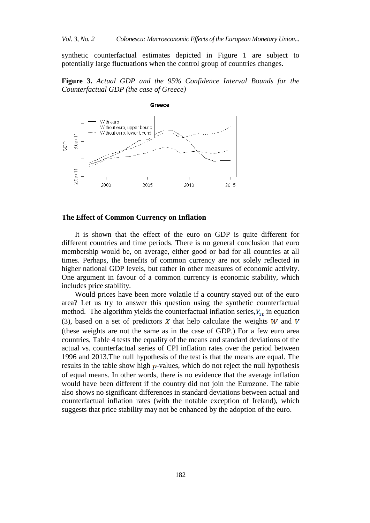synthetic counterfactual estimates depicted in Figure 1 are subject to potentially large fluctuations when the control group of countries changes.

**Figure 3.** *Actual GDP and the 95% Confidence Interval Bounds for the Counterfactual GDP (the case of Greece)*



Greece

#### **The Effect of Common Currency on Inflation**

It is shown that the effect of the euro on GDP is quite different for different countries and time periods. There is no general conclusion that euro membership would be, on average, either good or bad for all countries at all times. Perhaps, the benefits of common currency are not solely reflected in higher national GDP levels, but rather in other measures of economic activity. One argument in favour of a common currency is economic stability, which includes price stability.

Would prices have been more volatile if a country stayed out of the euro area? Let us try to answer this question using the synthetic counterfactual method. The algorithm yields the counterfactual inflation series,  $Y_{1t}$  in equation (3), based on a set of predictors  $X$  that help calculate the weights  $W$  and  $V$ (these weights are not the same as in the case of GDP.) For a few euro area countries, Table 4 tests the equality of the means and standard deviations of the actual vs. counterfactual series of CPI inflation rates over the period between 1996 and 2013.The null hypothesis of the test is that the means are equal. The results in the table show high  $p$ -values, which do not reject the null hypothesis of equal means. In other words, there is no evidence that the average inflation would have been different if the country did not join the Eurozone. The table also shows no significant differences in standard deviations between actual and counterfactual inflation rates (with the notable exception of Ireland), which suggests that price stability may not be enhanced by the adoption of the euro.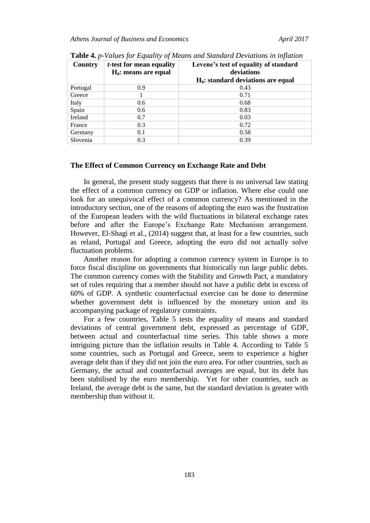| Country  | <i>t</i> -test for mean equality<br>$H_0$ : means are equal | Levene's test of equality of standard<br>deviations |
|----------|-------------------------------------------------------------|-----------------------------------------------------|
|          |                                                             | $H_0$ : standard deviations are equal               |
| Portugal | 0.9                                                         | 0.43                                                |
| Greece   |                                                             | 0.71                                                |
| Italy    | 0.6                                                         | 0.68                                                |
| Spain    | 0.6                                                         | 0.83                                                |
| Ireland  | 0.7                                                         | 0.03                                                |
| France   | 0.3                                                         | 0.72                                                |
| Germany  | 0.1                                                         | 0.58                                                |
| Slovenia | 0.3                                                         | 0.39                                                |

**Table 4.** *p-Values for Equality of Means and Standard Deviations in inflation*

#### **The Effect of Common Currency on Exchange Rate and Debt**

In general, the present study suggests that there is no universal law stating the effect of a common currency on GDP or inflation. Where else could one look for an unequivocal effect of a common currency? As mentioned in the introductory section, one of the reasons of adopting the euro was the frustration of the European leaders with the wild fluctuations in bilateral exchange rates before and after the Europe's Exchange Rate Mechanism arrangement. However, El-Shagi et al., (2014) suggest that, at least for a few countries, such as reland, Portugal and Greece, adopting the euro did not actually solve fluctuation problems.

Another reason for adopting a common currency system in Europe is to force fiscal discipline on governments that historically run large public debts. The common currency comes with the Stability and Growth Pact, a mandatory set of rules requiring that a member should not have a public debt in excess of 60% of GDP. A synthetic counterfactual exercise can be done to determine whether government debt is influenced by the monetary union and its accompanying package of regulatory constraints.

For a few countries, Table 5 tests the equality of means and standard deviations of central government debt, expressed as percentage of GDP, between actual and counterfactual time series. This table shows a more intriguing picture than the inflation results in Table 4. According to Table 5 some countries, such as Portugal and Greece, seem to experience a higher average debt than if they did not join the euro area. For other countries, such as Germany, the actual and counterfactual averages are equal, but its debt has been stabilised by the euro membership. Yet for other countries, such as Ireland, the average debt is the same, but the standard deviation is greater with membership than without it.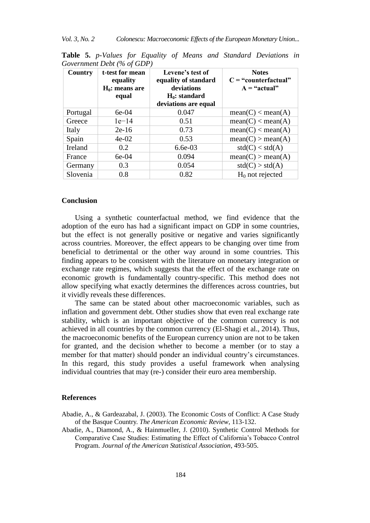| Country  | t-test for mean<br>equality<br>$H_0$ : means are<br>equal | Levene's test of<br>equality of standard<br>deviations<br>$H_0$ : standard<br>deviations are equal | <b>Notes</b><br>$C = "counterfactual"$<br>$A = "actual"$ |
|----------|-----------------------------------------------------------|----------------------------------------------------------------------------------------------------|----------------------------------------------------------|
| Portugal | $6e-04$                                                   | 0.047                                                                                              | mean(C) < mean(A)                                        |
| Greece   | $1e-14$                                                   | 0.51                                                                                               | mean(C) < mean(A)                                        |
| Italy    | $2e-16$                                                   | 0.73                                                                                               | mean(C) < mean(A)                                        |
| Spain    | $4e-02$                                                   | 0.53                                                                                               | mean(C) > mean(A)                                        |
| Ireland  | 0.2                                                       | $6.6e-03$                                                                                          | std(C) < std(A)                                          |
| France   | 6e-04                                                     | 0.094                                                                                              | mean(C) > mean(A)                                        |
| Germany  | 0.3                                                       | 0.054                                                                                              | std(C) > std(A)                                          |
| Slovenia | 0.8                                                       | 0.82                                                                                               | $H_0$ not rejected                                       |

**Table 5.** *p-Values for Equality of Means and Standard Deviations in Government Debt (% of GDP)*

#### **Conclusion**

Using a synthetic counterfactual method, we find evidence that the adoption of the euro has had a significant impact on GDP in some countries, but the effect is not generally positive or negative and varies significantly across countries. Moreover, the effect appears to be changing over time from beneficial to detrimental or the other way around in some countries. This finding appears to be consistent with the literature on monetary integration or exchange rate regimes, which suggests that the effect of the exchange rate on economic growth is fundamentally country-specific. This method does not allow specifying what exactly determines the differences across countries, but it vividly reveals these differences.

The same can be stated about other macroeconomic variables, such as inflation and government debt. Other studies show that even real exchange rate stability, which is an important objective of the common currency is not achieved in all countries by the common currency (El-Shagi et al., 2014). Thus, the macroeconomic benefits of the European currency union are not to be taken for granted, and the decision whether to become a member (or to stay a member for that matter) should ponder an individual country's circumstances. In this regard, this study provides a useful framework when analysing individual countries that may (re-) consider their euro area membership.

### **References**

- Abadie, A., & Gardeazabal, J. (2003). The Economic Costs of Conflict: A Case Study of the Basque Country. *The American Economic Review*, 113-132.
- Abadie, A., Diamond, A., & Hainmueller, J. (2010). Synthetic Control Methods for Comparative Case Studies: Estimating the Effect of California's Tobacco Control Program. *Journal of the American Statistical Association*, 493-505.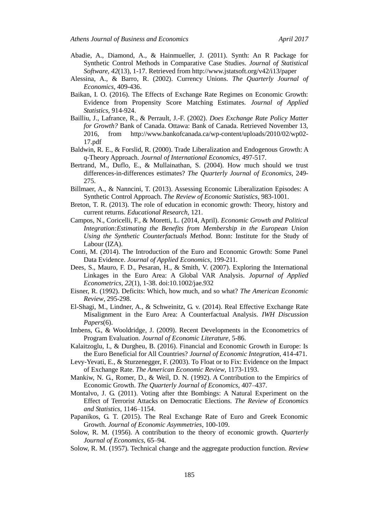- Abadie, A., Diamond, A., & Hainmueller, J. (2011). Synth: An R Package for Synthetic Control Methods in Comparative Case Studies. *Journal of Statistical Software, 42*(13), 1-17. Retrieved from http://www.jstatsoft.org/v42/i13/paper
- Alessina, A., & Barro, R. (2002). Currency Unions. *The Quarterly Journal of Economics*, 409-436.
- Baikan, I. O. (2016). The Effects of Exchange Rate Regimes on Economic Growth: Evidence from Propensity Score Matching Estimates. *Journal of Applied Statistics*, 914-924.
- Bailliu, J., Lafrance, R., & Perrault, J.-F. (2002). *Does Exchange Rate Policy Matter for Growth?* Bank of Canada. Ottawa: Bank of Canada. Retrieved November 13, 2016, from http://www.bankofcanada.ca/wp-content/uploads/2010/02/wp02- 17.pdf
- Baldwin, R. E., & Forslid, R. (2000). Trade Liberalization and Endogenous Growth: A q-Theory Approach. *Journal of International Economics*, 497-517.
- Bertrand, M., Duflo, E., & Mullainathan, S. (2004). How much should we trust differences-in-differences estimates? *The Quarterly Journal of Economics*, 249- 275.
- Billmaer, A., & Nanncini, T. (2013). Assessing Economic Liberalization Episodes: A Synthetic Control Approach. *The Review of Economic Statistics*, 983-1001.
- Breton, T. R. (2013). The role of education in economic growth: Theory, history and current returns. *Educational Research*, 121.
- Campos, N., Coricelli, F., & Moretti, L. (2014, April). *Economic Growth and Political Integration:Estimating the Benefits from Membership in the European Union Using the Synthetic Counterfactuals Method.* Bonn: Institute for the Study of Labour (IZA).
- Conti, M. (2014). The Introduction of the Euro and Economic Growth: Some Panel Data Evidence. *Journal of Applied Economics*, 199-211.
- Dees, S., Mauro, F. D., Pesaran, H., & Smith, V. (2007). Exploring the International Linkages in the Euro Area: A Global VAR Analysis. *Jopurnal of Applied Econometrics, 22*(1), 1-38. doi:10.1002/jae.932
- Eisner, R. (1992). Deficits: Which, how much, and so what? *The American Economic Review*, 295-298.
- El-Shagi, M., Lindner, A., & Schweinitz, G. v. (2014). Real Effective Exchange Rate Misalignment in the Euro Area: A Counterfactual Analysis. *IWH Discussion Papers*(6).
- Imbens, G., & Wooldridge, J. (2009). Recent Developments in the Econometrics of Program Evaluation. *Journal of Economic Literature*, 5-86.
- Kalaitzoglu, I., & Durgheu, B. (2016). Financial and Economic Growth in Europe: Is the Euro Beneficial for All Countries? *Journal of Economic Integration*, 414-471.
- Levy-Yevati, E., & Sturzenegger, F. (2003). To Float or to Fix: Evidence on the Impact of Exchange Rate. *The American Economic Review*, 1173-1193.
- Mankiw, N. G., Romer, D., & Weil, D. N. (1992). A Contribution to the Empirics of Economic Growth. *The Quarterly Journal of Economics*, 407–437.
- Montalvo, J. G. (2011). Voting after thte Bombings: A Natural Experiment on the Effect of Terrorist Attacks on Democratic Elections. *The Review of Economics and Statistics*, 1146–1154.
- Papanikos, G. T. (2015). The Real Exchange Rate of Euro and Greek Economic Growth. *Journal of Economic Asymmetries*, 100-109.
- Solow, R. M. (1956). A contribution to the theory of economic growth. *Quarterly Journal of Economics*, 65–94.
- Solow, R. M. (1957). Technical change and the aggregate production function. *Review*